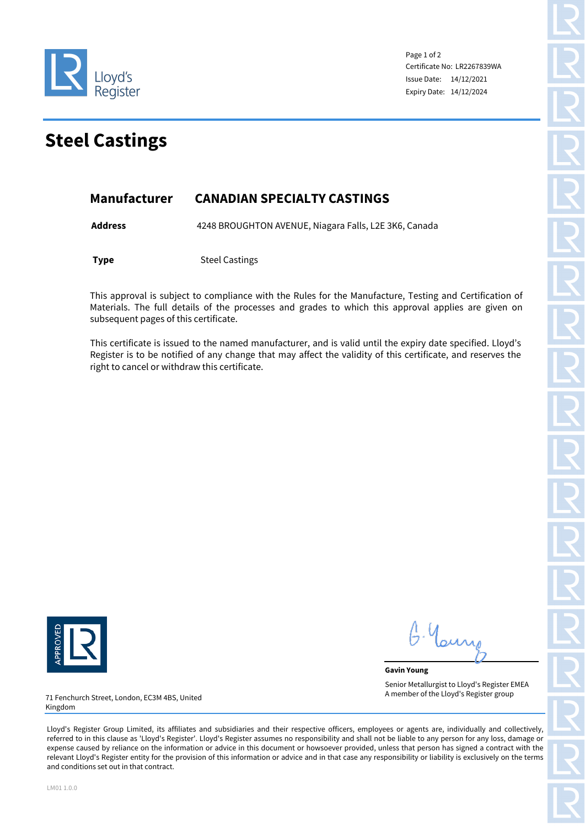

Page 1 of 2 Certificate No: LR2267839WA Issue Date: 14/12/2021 Expiry Date: 14/12/2024

## **Steel Castings**

## **Manufacturer CANADIAN SPECIALTY CASTINGS**

**Address** 4248 BROUGHTON AVENUE, Niagara Falls, L2E 3K6, Canada

**Type** Steel Castings

This approval is subject to compliance with the Rules for the Manufacture, Testing and Certification of Materials. The full details of the processes and grades to which this approval applies are given on subsequent pages of this certificate.

This certificate is issued to the named manufacturer, and is valid until the expiry date specified. Lloyd's Register is to be notified of any change that may affect the validity of this certificate, and reserves the right to cancel or withdraw this certificate.



. Your

**Gavin Young** Senior Metallurgist to Lloyd's Register EMEA A member of the Lloyd's Register group

71 Fenchurch Street, London, EC3M 4BS, United Kingdom

Lloyd's Register Group Limited, its affiliates and subsidiaries and their respective officers, employees or agents are, individually and collectively, referred to in this clause as 'Lloyd's Register'. Lloyd's Register assumes no responsibility and shall not be liable to any person for any loss, damage or expense caused by reliance on the information or advice in this document or howsoever provided, unless that person has signed a contract with the relevant Lloyd's Register entity for the provision of this information or advice and in that case any responsibility or liability is exclusively on the terms and conditions set out in that contract.